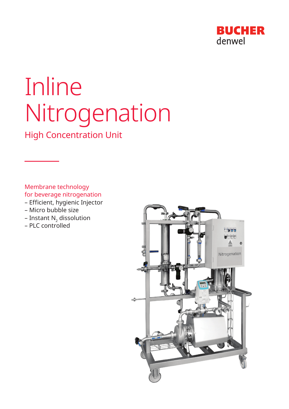

# Inline Nitrogenation

High Concentration Unit

Membrane technology for beverage nitrogenation

- Efficient, hygienic Injector
- Micro bubble size
- Instant  $N_2$  dissolution
- PLC controlled